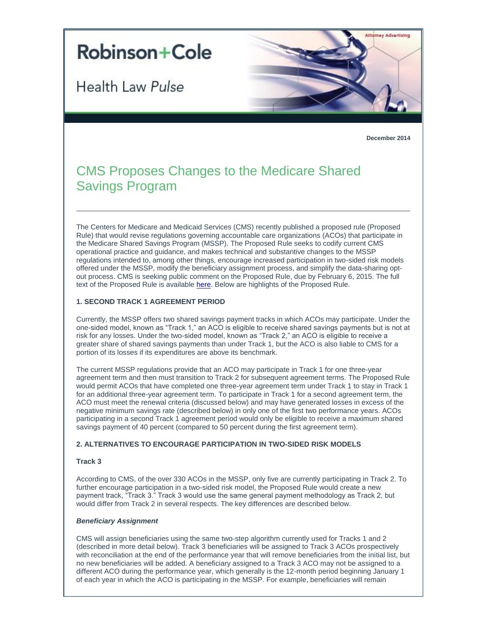# **Robinson+Cole**

Health Law Pulse



**December 2014**

# CMS Proposes Changes to the Medicare Shared Savings Program

The Centers for Medicare and Medicaid Services (CMS) recently published a proposed rule (Proposed Rule) that would revise regulations governing accountable care organizations (ACOs) that participate in the Medicare Shared Savings Program (MSSP). The Proposed Rule seeks to codify current CMS operational practice and guidance, and makes technical and substantive changes to the MSSP regulations intended to, among other things, encourage increased participation in two-sided risk models offered under the MSSP, modify the beneficiary assignment process, and simplify the data-sharing optout process. CMS is seeking public comment on the Proposed Rule, due by February 6, 2015. The full text of the Proposed Rule is available [here.](http://t2806904.omkt.co/track.aspx?id=402|2AD478|6F10|19C|8B9|0|787|1|6BDDCABC&destination=http%3a%2f%2fwww.gpo.gov%2ffdsys%2fpkg%2fFR-2014-12-08%2fpdf%2f2014-28388.pdf&dchk=15C39869) Below are highlights of the Proposed Rule.

# **1. SECOND TRACK 1 AGREEMENT PERIOD**

Currently, the MSSP offers two shared savings payment tracks in which ACOs may participate. Under the one-sided model, known as "Track 1," an ACO is eligible to receive shared savings payments but is not at risk for any losses. Under the two-sided model, known as "Track 2," an ACO is eligible to receive a greater share of shared savings payments than under Track 1, but the ACO is also liable to CMS for a portion of its losses if its expenditures are above its benchmark.

The current MSSP regulations provide that an ACO may participate in Track 1 for one three-year agreement term and then must transition to Track 2 for subsequent agreement terms. The Proposed Rule would permit ACOs that have completed one three-year agreement term under Track 1 to stay in Track 1 for an additional three-year agreement term. To participate in Track 1 for a second agreement term, the ACO must meet the renewal criteria (discussed below) and may have generated losses in excess of the negative minimum savings rate (described below) in only one of the first two performance years. ACOs participating in a second Track 1 agreement period would only be eligible to receive a maximum shared savings payment of 40 percent (compared to 50 percent during the first agreement term).

# **2. ALTERNATIVES TO ENCOURAGE PARTICIPATION IN TWO-SIDED RISK MODELS**

# **Track 3**

According to CMS, of the over 330 ACOs in the MSSP, only five are currently participating in Track 2. To further encourage participation in a two-sided risk model, the Proposed Rule would create a new payment track, "Track 3." Track 3 would use the same general payment methodology as Track 2, but would differ from Track 2 in several respects. The key differences are described below.

#### *Beneficiary Assignment*

CMS will assign beneficiaries using the same two-step algorithm currently used for Tracks 1 and 2 (described in more detail below). Track 3 beneficiaries will be assigned to Track 3 ACOs prospectively with reconciliation at the end of the performance year that will remove beneficiaries from the initial list, but no new beneficiaries will be added. A beneficiary assigned to a Track 3 ACO may not be assigned to a different ACO during the performance year, which generally is the 12-month period beginning January 1 of each year in which the ACO is participating in the MSSP. For example, beneficiaries will remain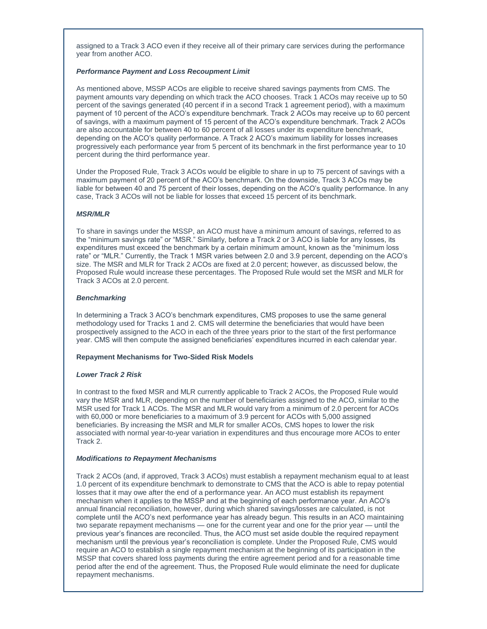assigned to a Track 3 ACO even if they receive all of their primary care services during the performance year from another ACO.

## *Performance Payment and Loss Recoupment Limit*

As mentioned above, MSSP ACOs are eligible to receive shared savings payments from CMS. The payment amounts vary depending on which track the ACO chooses. Track 1 ACOs may receive up to 50 percent of the savings generated (40 percent if in a second Track 1 agreement period), with a maximum payment of 10 percent of the ACO's expenditure benchmark. Track 2 ACOs may receive up to 60 percent of savings, with a maximum payment of 15 percent of the ACO's expenditure benchmark. Track 2 ACOs are also accountable for between 40 to 60 percent of all losses under its expenditure benchmark, depending on the ACO's quality performance. A Track 2 ACO's maximum liability for losses increases progressively each performance year from 5 percent of its benchmark in the first performance year to 10 percent during the third performance year.

Under the Proposed Rule, Track 3 ACOs would be eligible to share in up to 75 percent of savings with a maximum payment of 20 percent of the ACO's benchmark. On the downside, Track 3 ACOs may be liable for between 40 and 75 percent of their losses, depending on the ACO's quality performance. In any case, Track 3 ACOs will not be liable for losses that exceed 15 percent of its benchmark.

# *MSR/MLR*

To share in savings under the MSSP, an ACO must have a minimum amount of savings, referred to as the "minimum savings rate" or "MSR." Similarly, before a Track 2 or 3 ACO is liable for any losses, its expenditures must exceed the benchmark by a certain minimum amount, known as the "minimum loss rate" or "MLR." Currently, the Track 1 MSR varies between 2.0 and 3.9 percent, depending on the ACO's size. The MSR and MLR for Track 2 ACOs are fixed at 2.0 percent; however, as discussed below, the Proposed Rule would increase these percentages. The Proposed Rule would set the MSR and MLR for Track 3 ACOs at 2.0 percent.

# *Benchmarking*

In determining a Track 3 ACO's benchmark expenditures, CMS proposes to use the same general methodology used for Tracks 1 and 2. CMS will determine the beneficiaries that would have been prospectively assigned to the ACO in each of the three years prior to the start of the first performance year. CMS will then compute the assigned beneficiaries' expenditures incurred in each calendar year.

# **Repayment Mechanisms for Two-Sided Risk Models**

# *Lower Track 2 Risk*

In contrast to the fixed MSR and MLR currently applicable to Track 2 ACOs, the Proposed Rule would vary the MSR and MLR, depending on the number of beneficiaries assigned to the ACO, similar to the MSR used for Track 1 ACOs. The MSR and MLR would vary from a minimum of 2.0 percent for ACOs with 60,000 or more beneficiaries to a maximum of 3.9 percent for ACOs with 5,000 assigned beneficiaries. By increasing the MSR and MLR for smaller ACOs, CMS hopes to lower the risk associated with normal year-to-year variation in expenditures and thus encourage more ACOs to enter Track 2.

# *Modifications to Repayment Mechanisms*

Track 2 ACOs (and, if approved, Track 3 ACOs) must establish a repayment mechanism equal to at least 1.0 percent of its expenditure benchmark to demonstrate to CMS that the ACO is able to repay potential losses that it may owe after the end of a performance year. An ACO must establish its repayment mechanism when it applies to the MSSP and at the beginning of each performance year. An ACO's annual financial reconciliation, however, during which shared savings/losses are calculated, is not complete until the ACO's next performance year has already begun. This results in an ACO maintaining two separate repayment mechanisms — one for the current year and one for the prior year — until the previous year's finances are reconciled. Thus, the ACO must set aside double the required repayment mechanism until the previous year's reconciliation is complete. Under the Proposed Rule, CMS would require an ACO to establish a single repayment mechanism at the beginning of its participation in the MSSP that covers shared loss payments during the entire agreement period and for a reasonable time period after the end of the agreement. Thus, the Proposed Rule would eliminate the need for duplicate repayment mechanisms.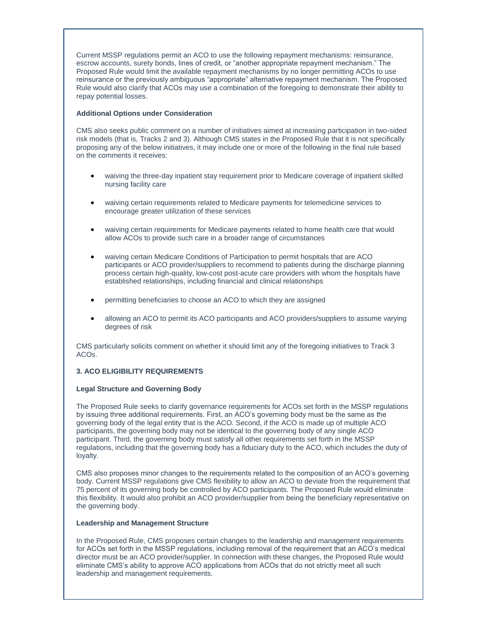Current MSSP regulations permit an ACO to use the following repayment mechanisms: reinsurance, escrow accounts, surety bonds, lines of credit, or "another appropriate repayment mechanism." The Proposed Rule would limit the available repayment mechanisms by no longer permitting ACOs to use reinsurance or the previously ambiguous "appropriate" alternative repayment mechanism. The Proposed Rule would also clarify that ACOs may use a combination of the foregoing to demonstrate their ability to repay potential losses.

## **Additional Options under Consideration**

CMS also seeks public comment on a number of initiatives aimed at increasing participation in two-sided risk models (that is, Tracks 2 and 3). Although CMS states in the Proposed Rule that it is not specifically proposing any of the below initiatives, it may include one or more of the following in the final rule based on the comments it receives:

- waiving the three-day inpatient stay requirement prior to Medicare coverage of inpatient skilled nursing facility care
- waiving certain requirements related to Medicare payments for telemedicine services to encourage greater utilization of these services
- waiving certain requirements for Medicare payments related to home health care that would allow ACOs to provide such care in a broader range of circumstances
- waiving certain Medicare Conditions of Participation to permit hospitals that are ACO participants or ACO provider/suppliers to recommend to patients during the discharge planning process certain high-quality, low-cost post-acute care providers with whom the hospitals have established relationships, including financial and clinical relationships
- permitting beneficiaries to choose an ACO to which they are assigned
- allowing an ACO to permit its ACO participants and ACO providers/suppliers to assume varying degrees of risk

CMS particularly solicits comment on whether it should limit any of the foregoing initiatives to Track 3 ACOs.

# **3. ACO ELIGIBILITY REQUIREMENTS**

#### **Legal Structure and Governing Body**

The Proposed Rule seeks to clarify governance requirements for ACOs set forth in the MSSP regulations by issuing three additional requirements. First, an ACO's governing body must be the same as the governing body of the legal entity that is the ACO. Second, if the ACO is made up of multiple ACO participants, the governing body may not be identical to the governing body of any single ACO participant. Third, the governing body must satisfy all other requirements set forth in the MSSP regulations, including that the governing body has a fiduciary duty to the ACO, which includes the duty of loyalty.

CMS also proposes minor changes to the requirements related to the composition of an ACO's governing body. Current MSSP regulations give CMS flexibility to allow an ACO to deviate from the requirement that 75 percent of its governing body be controlled by ACO participants. The Proposed Rule would eliminate this flexibility. It would also prohibit an ACO provider/supplier from being the beneficiary representative on the governing body.

#### **Leadership and Management Structure**

In the Proposed Rule, CMS proposes certain changes to the leadership and management requirements for ACOs set forth in the MSSP regulations, including removal of the requirement that an ACO's medical director must be an ACO provider/supplier. In connection with these changes, the Proposed Rule would eliminate CMS's ability to approve ACO applications from ACOs that do not strictly meet all such leadership and management requirements.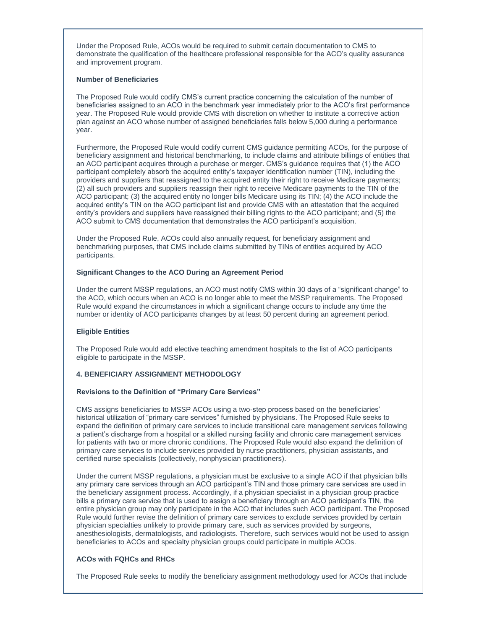Under the Proposed Rule, ACOs would be required to submit certain documentation to CMS to demonstrate the qualification of the healthcare professional responsible for the ACO's quality assurance and improvement program.

#### **Number of Beneficiaries**

The Proposed Rule would codify CMS's current practice concerning the calculation of the number of beneficiaries assigned to an ACO in the benchmark year immediately prior to the ACO's first performance year. The Proposed Rule would provide CMS with discretion on whether to institute a corrective action plan against an ACO whose number of assigned beneficiaries falls below 5,000 during a performance year.

Furthermore, the Proposed Rule would codify current CMS guidance permitting ACOs, for the purpose of beneficiary assignment and historical benchmarking, to include claims and attribute billings of entities that an ACO participant acquires through a purchase or merger. CMS's guidance requires that (1) the ACO participant completely absorb the acquired entity's taxpayer identification number (TIN), including the providers and suppliers that reassigned to the acquired entity their right to receive Medicare payments; (2) all such providers and suppliers reassign their right to receive Medicare payments to the TIN of the ACO participant; (3) the acquired entity no longer bills Medicare using its TIN; (4) the ACO include the acquired entity's TIN on the ACO participant list and provide CMS with an attestation that the acquired entity's providers and suppliers have reassigned their billing rights to the ACO participant; and (5) the ACO submit to CMS documentation that demonstrates the ACO participant's acquisition.

Under the Proposed Rule, ACOs could also annually request, for beneficiary assignment and benchmarking purposes, that CMS include claims submitted by TINs of entities acquired by ACO participants.

#### **Significant Changes to the ACO During an Agreement Period**

Under the current MSSP regulations, an ACO must notify CMS within 30 days of a "significant change" to the ACO, which occurs when an ACO is no longer able to meet the MSSP requirements. The Proposed Rule would expand the circumstances in which a significant change occurs to include any time the number or identity of ACO participants changes by at least 50 percent during an agreement period.

#### **Eligible Entities**

The Proposed Rule would add elective teaching amendment hospitals to the list of ACO participants eligible to participate in the MSSP.

# **4. BENEFICIARY ASSIGNMENT METHODOLOGY**

#### **Revisions to the Definition of "Primary Care Services"**

CMS assigns beneficiaries to MSSP ACOs using a two-step process based on the beneficiaries' historical utilization of "primary care services" furnished by physicians. The Proposed Rule seeks to expand the definition of primary care services to include transitional care management services following a patient's discharge from a hospital or a skilled nursing facility and chronic care management services for patients with two or more chronic conditions. The Proposed Rule would also expand the definition of primary care services to include services provided by nurse practitioners, physician assistants, and certified nurse specialists (collectively, nonphysician practitioners).

Under the current MSSP regulations, a physician must be exclusive to a single ACO if that physician bills any primary care services through an ACO participant's TIN and those primary care services are used in the beneficiary assignment process. Accordingly, if a physician specialist in a physician group practice bills a primary care service that is used to assign a beneficiary through an ACO participant's TIN, the entire physician group may only participate in the ACO that includes such ACO participant. The Proposed Rule would further revise the definition of primary care services to exclude services provided by certain physician specialties unlikely to provide primary care, such as services provided by surgeons, anesthesiologists, dermatologists, and radiologists. Therefore, such services would not be used to assign beneficiaries to ACOs and specialty physician groups could participate in multiple ACOs.

# **ACOs with FQHCs and RHCs**

The Proposed Rule seeks to modify the beneficiary assignment methodology used for ACOs that include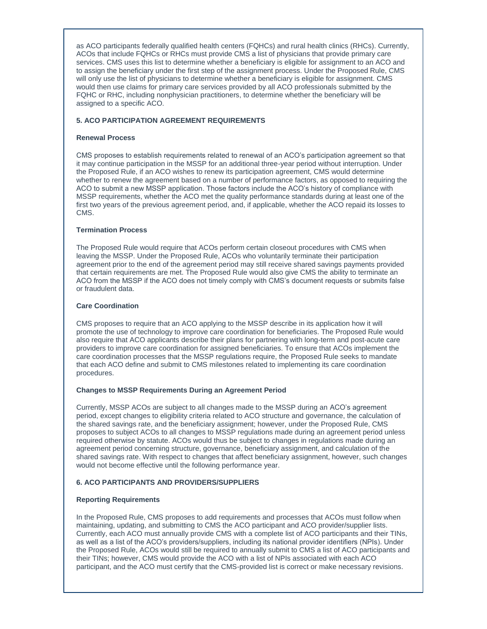as ACO participants federally qualified health centers (FQHCs) and rural health clinics (RHCs). Currently, ACOs that include FQHCs or RHCs must provide CMS a list of physicians that provide primary care services. CMS uses this list to determine whether a beneficiary is eligible for assignment to an ACO and to assign the beneficiary under the first step of the assignment process. Under the Proposed Rule, CMS will only use the list of physicians to determine whether a beneficiary is eligible for assignment. CMS would then use claims for primary care services provided by all ACO professionals submitted by the FQHC or RHC, including nonphysician practitioners, to determine whether the beneficiary will be assigned to a specific ACO.

# **5. ACO PARTICIPATION AGREEMENT REQUIREMENTS**

# **Renewal Process**

CMS proposes to establish requirements related to renewal of an ACO's participation agreement so that it may continue participation in the MSSP for an additional three-year period without interruption. Under the Proposed Rule, if an ACO wishes to renew its participation agreement, CMS would determine whether to renew the agreement based on a number of performance factors, as opposed to requiring the ACO to submit a new MSSP application. Those factors include the ACO's history of compliance with MSSP requirements, whether the ACO met the quality performance standards during at least one of the first two years of the previous agreement period, and, if applicable, whether the ACO repaid its losses to CMS.

#### **Termination Process**

The Proposed Rule would require that ACOs perform certain closeout procedures with CMS when leaving the MSSP. Under the Proposed Rule, ACOs who voluntarily terminate their participation agreement prior to the end of the agreement period may still receive shared savings payments provided that certain requirements are met. The Proposed Rule would also give CMS the ability to terminate an ACO from the MSSP if the ACO does not timely comply with CMS's document requests or submits false or fraudulent data.

#### **Care Coordination**

CMS proposes to require that an ACO applying to the MSSP describe in its application how it will promote the use of technology to improve care coordination for beneficiaries. The Proposed Rule would also require that ACO applicants describe their plans for partnering with long-term and post-acute care providers to improve care coordination for assigned beneficiaries. To ensure that ACOs implement the care coordination processes that the MSSP regulations require, the Proposed Rule seeks to mandate that each ACO define and submit to CMS milestones related to implementing its care coordination procedures.

# **Changes to MSSP Requirements During an Agreement Period**

Currently, MSSP ACOs are subject to all changes made to the MSSP during an ACO's agreement period, except changes to eligibility criteria related to ACO structure and governance, the calculation of the shared savings rate, and the beneficiary assignment; however, under the Proposed Rule, CMS proposes to subject ACOs to all changes to MSSP regulations made during an agreement period unless required otherwise by statute. ACOs would thus be subject to changes in regulations made during an agreement period concerning structure, governance, beneficiary assignment, and calculation of the shared savings rate. With respect to changes that affect beneficiary assignment, however, such changes would not become effective until the following performance year.

# **6. ACO PARTICIPANTS AND PROVIDERS/SUPPLIERS**

# **Reporting Requirements**

In the Proposed Rule, CMS proposes to add requirements and processes that ACOs must follow when maintaining, updating, and submitting to CMS the ACO participant and ACO provider/supplier lists. Currently, each ACO must annually provide CMS with a complete list of ACO participants and their TINs, as well as a list of the ACO's providers/suppliers, including its national provider identifiers (NPIs). Under the Proposed Rule, ACOs would still be required to annually submit to CMS a list of ACO participants and their TINs; however, CMS would provide the ACO with a list of NPIs associated with each ACO participant, and the ACO must certify that the CMS-provided list is correct or make necessary revisions.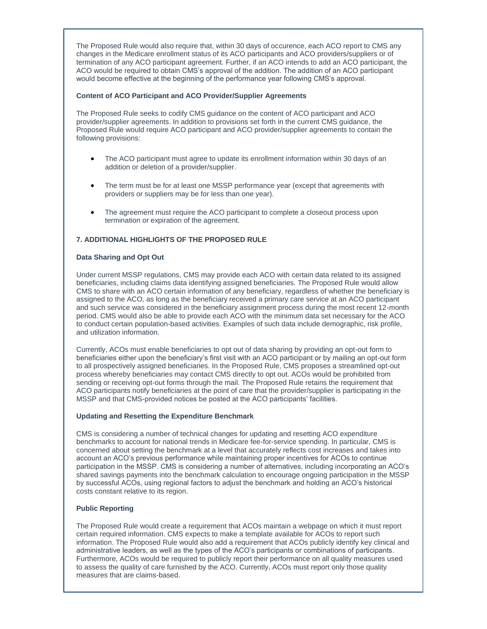The Proposed Rule would also require that, within 30 days of occurence, each ACO report to CMS any changes in the Medicare enrollment status of its ACO participants and ACO providers/suppliers or of termination of any ACO participant agreement. Further, if an ACO intends to add an ACO participant, the ACO would be required to obtain CMS's approval of the addition. The addition of an ACO participant would become effective at the beginning of the performance year following CMS's approval.

# **Content of ACO Participant and ACO Provider/Supplier Agreements**

The Proposed Rule seeks to codify CMS guidance on the content of ACO participant and ACO provider/supplier agreements. In addition to provisions set forth in the current CMS guidance, the Proposed Rule would require ACO participant and ACO provider/supplier agreements to contain the following provisions:

- The ACO participant must agree to update its enrollment information within 30 days of an addition or deletion of a provider/supplier.
- The term must be for at least one MSSP performance year (except that agreements with providers or suppliers may be for less than one year).
- The agreement must require the ACO participant to complete a closeout process upon termination or expiration of the agreement.

# **7. ADDITIONAL HIGHLIGHTS OF THE PROPOSED RULE**

#### **Data Sharing and Opt Out**

Under current MSSP regulations, CMS may provide each ACO with certain data related to its assigned beneficiaries, including claims data identifying assigned beneficiaries. The Proposed Rule would allow CMS to share with an ACO certain information of any beneficiary, regardless of whether the beneficiary is assigned to the ACO, as long as the beneficiary received a primary care service at an ACO participant and such service was considered in the beneficiary assignment process during the most recent 12-month period. CMS would also be able to provide each ACO with the minimum data set necessary for the ACO to conduct certain population-based activities. Examples of such data include demographic, risk profile, and utilization information.

Currently, ACOs must enable beneficiaries to opt out of data sharing by providing an opt-out form to beneficiaries either upon the beneficiary's first visit with an ACO participant or by mailing an opt-out form to all prospectively assigned beneficiaries. In the Proposed Rule, CMS proposes a streamlined opt-out process whereby beneficiaries may contact CMS directly to opt out. ACOs would be prohibited from sending or receiving opt-out forms through the mail. The Proposed Rule retains the requirement that ACO participants notify beneficiaries at the point of care that the provider/supplier is participating in the MSSP and that CMS-provided notices be posted at the ACO participants' facilities.

#### **Updating and Resetting the Expenditure Benchmark**

CMS is considering a number of technical changes for updating and resetting ACO expenditure benchmarks to account for national trends in Medicare fee-for-service spending. In particular, CMS is concerned about setting the benchmark at a level that accurately reflects cost increases and takes into account an ACO's previous performance while maintaining proper incentives for ACOs to continue participation in the MSSP. CMS is considering a number of alternatives, including incorporating an ACO's shared savings payments into the benchmark calculation to encourage ongoing participation in the MSSP by successful ACOs, using regional factors to adjust the benchmark and holding an ACO's historical costs constant relative to its region.

#### **Public Reporting**

The Proposed Rule would create a requirement that ACOs maintain a webpage on which it must report certain required information. CMS expects to make a template available for ACOs to report such information. The Proposed Rule would also add a requirement that ACOs publicly identify key clinical and administrative leaders, as well as the types of the ACO's participants or combinations of participants. Furthermore, ACOs would be required to publicly report their performance on all quality measures used to assess the quality of care furnished by the ACO. Currently, ACOs must report only those quality measures that are claims-based.